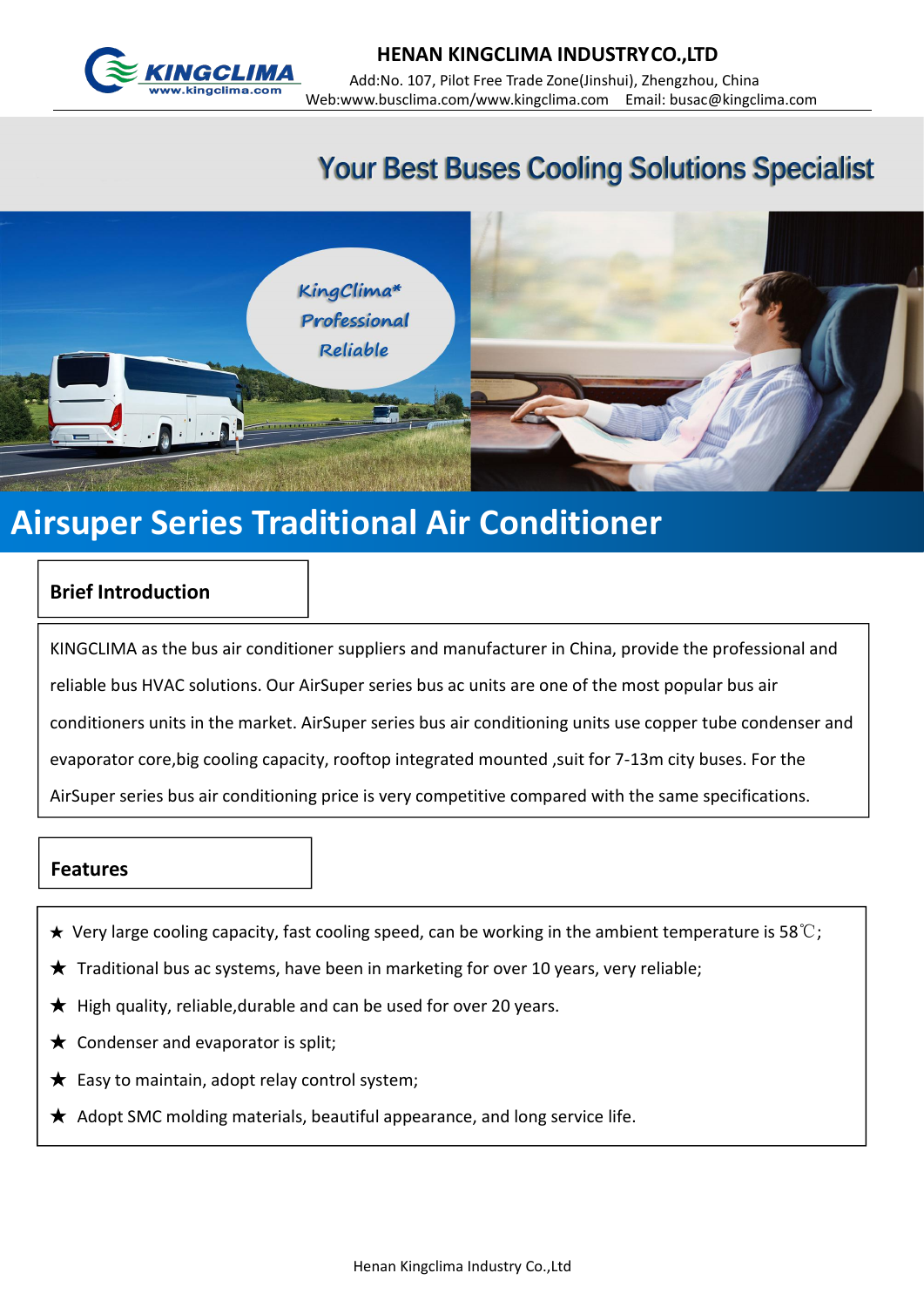

## **Your Best Buses Cooling Solutions Specialist**



# **Airsuper Series Traditional Air Conditioner**

#### **Brief Introduction**

KINGCLIMA as the bus air conditioner suppliers and manufacturer in China, provide the professional and reliable bus HVAC solutions. Our AirSuper series bus ac units are one of the most popular bus air conditioners units in the market. AirSuper series bus air conditioning units use copper tube condenser and evaporator core, big cooling capacity, rooftop integrated mounted, suit for 7-13m city buses. For the AirSuper series bus air conditioning price is very competitive compared with the same specifications.

#### **Features**

- $\star$  Very large cooling capacity, fast cooling speed, can be working in the ambient temperature is 58°C;
- $\bigstar$  Traditional bus ac systems, have been in marketing for over 10 years, very reliable;
- $\bigstar$  High quality, reliable, durable and can be used for over 20 years.
- $\bigstar$  Condenser and evaporator is split;
- $\bigstar$  Easy to maintain, adopt relay control system;
- $\star$  Adopt SMC molding materials, beautiful appearance, and long service life.